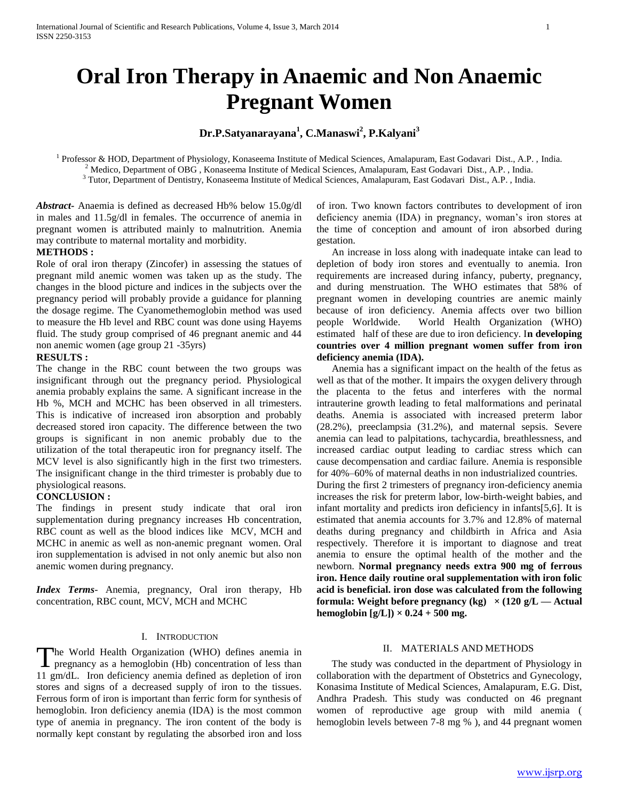# **Dr.P.Satyanarayana<sup>1</sup> , C.Manaswi<sup>2</sup> , P.Kalyani<sup>3</sup>**

<sup>1</sup> Professor & HOD, Department of Physiology, Konaseema Institute of Medical Sciences, Amalapuram, East Godavari Dist., A.P., India. <sup>2</sup> Medico, Department of OBG, Konaseema Institute of Medical Sciences, Amalapuram, East Godavari Dist., A.P., India. <sup>3</sup> Tutor, Department of Dentistry, Konaseema Institute of Medical Sciences, Amalapuram, East Godavari Dist., A.P., India.

*Abstract***-** Anaemia is defined as decreased Hb% below 15.0g/dl in males and 11.5g/dl in females. The occurrence of anemia in pregnant women is attributed mainly to malnutrition. Anemia may contribute to maternal mortality and morbidity.

# **METHODS :**

Role of oral iron therapy (Zincofer) in assessing the statues of pregnant mild anemic women was taken up as the study. The changes in the blood picture and indices in the subjects over the pregnancy period will probably provide a guidance for planning the dosage regime. The Cyanomethemoglobin method was used to measure the Hb level and RBC count was done using Hayems fluid. The study group comprised of 46 pregnant anemic and 44 non anemic women (age group 21 -35yrs)

#### **RESULTS :**

The change in the RBC count between the two groups was insignificant through out the pregnancy period. Physiological anemia probably explains the same. A significant increase in the Hb %, MCH and MCHC has been observed in all trimesters. This is indicative of increased iron absorption and probably decreased stored iron capacity. The difference between the two groups is significant in non anemic probably due to the utilization of the total therapeutic iron for pregnancy itself. The MCV level is also significantly high in the first two trimesters. The insignificant change in the third trimester is probably due to physiological reasons.

### **CONCLUSION :**

The findings in present study indicate that oral iron supplementation during pregnancy increases Hb concentration, RBC count as well as the blood indices like MCV, MCH and MCHC in anemic as well as non-anemic pregnant women. Oral iron supplementation is advised in not only anemic but also non anemic women during pregnancy.

*Index Terms*- Anemia, pregnancy, Oral iron therapy, Hb concentration, RBC count, MCV, MCH and MCHC

## I. INTRODUCTION

he World Health Organization (WHO) defines anemia in The World Health Organization (WHO) defines anemia in pregnancy as a hemoglobin (Hb) concentration of less than 11 gm/dL. Iron deficiency anemia defined as depletion of iron stores and signs of a decreased supply of iron to the tissues. Ferrous form of iron is important than ferric form for synthesis of hemoglobin. Iron deficiency anemia (IDA) is the most common type of anemia in pregnancy. The iron content of the body is normally kept constant by regulating the absorbed iron and loss

of iron. Two known factors contributes to development of iron deficiency anemia (IDA) in pregnancy, woman's iron stores at the time of conception and amount of iron absorbed during gestation.

 An increase in loss along with inadequate intake can lead to depletion of body iron stores and eventually to anemia. Iron requirements are increased during infancy, puberty, pregnancy, and during menstruation. The WHO estimates that 58% of pregnant women in developing countries are anemic mainly because of iron deficiency. Anemia affects over two billion people Worldwide. World Health Organization (WHO) estimated half of these are due to iron deficiency. I**n developing countries over 4 million pregnant women suffer from iron deficiency anemia (IDA).** 

 Anemia has a significant impact on the health of the fetus as well as that of the mother. It impairs the oxygen delivery through the placenta to the fetus and interferes with the normal intrauterine growth leading to fetal malformations and perinatal deaths. Anemia is associated with increased preterm labor (28.2%), preeclampsia (31.2%), and maternal sepsis. Severe anemia can lead to palpitations, tachycardia, breathlessness, and increased cardiac output leading to cardiac stress which can cause decompensation and cardiac failure. Anemia is responsible for 40%–60% of maternal deaths in non industrialized countries. During the first 2 trimesters of pregnancy iron-deficiency anemia increases the risk for preterm labor, low-birth-weight babies, and infant mortality and predicts iron deficiency in infants[5,6]. It is estimated that anemia accounts for 3.7% and 12.8% of maternal deaths during pregnancy and childbirth in Africa and Asia respectively. Therefore it is important to diagnose and treat anemia to ensure the optimal health of the mother and the newborn. **Normal pregnancy needs extra 900 mg of ferrous iron. Hence daily routine oral supplementation with iron folic acid is beneficial. iron dose was calculated from the following formula:** Weight before pregnancy (kg)  $\times$  (120 g/L — Actual **hemoglobin**  $[g/L]$ )  $\times$  0.24 + 500 mg.

# II. MATERIALS AND METHODS

 The study was conducted in the department of Physiology in collaboration with the department of Obstetrics and Gynecology, Konasima Institute of Medical Sciences, Amalapuram, E.G. Dist, Andhra Pradesh. This study was conducted on 46 pregnant women of reproductive age group with mild anemia ( hemoglobin levels between 7-8 mg % ), and 44 pregnant women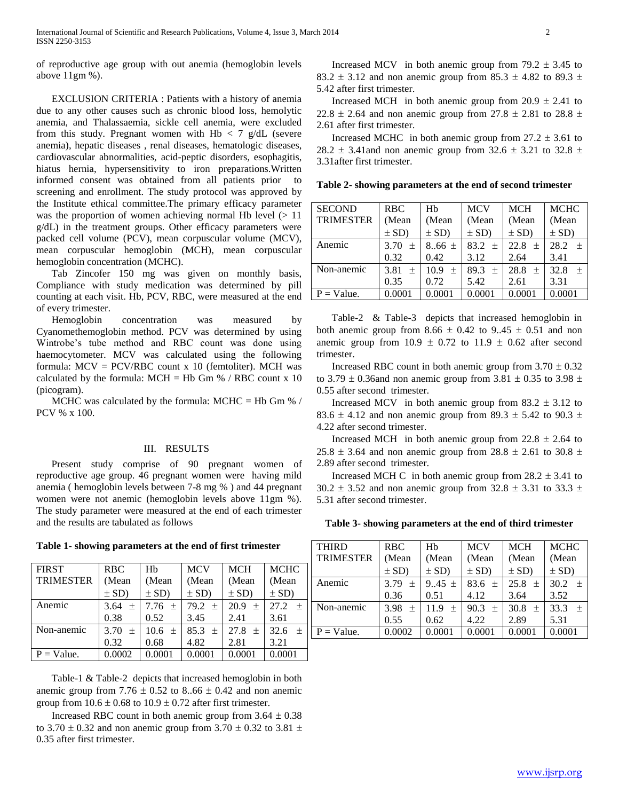of reproductive age group with out anemia (hemoglobin levels above 11gm %).

 EXCLUSION CRITERIA : Patients with a history of anemia due to any other causes such as chronic blood loss, hemolytic anemia, and Thalassaemia, sickle cell anemia, were excluded from this study. Pregnant women with Hb  $<$  7 g/dL (severe anemia), hepatic diseases , renal diseases, hematologic diseases, cardiovascular abnormalities, acid-peptic disorders, esophagitis, hiatus hernia, hypersensitivity to iron preparations.Written informed consent was obtained from all patients prior to screening and enrollment. The study protocol was approved by the Institute ethical committee.The primary efficacy parameter was the proportion of women achieving normal Hb level  $(>11$ g/dL) in the treatment groups. Other efficacy parameters were packed cell volume (PCV), mean corpuscular volume (MCV), mean corpuscular hemoglobin (MCH), mean corpuscular hemoglobin concentration (MCHC).

 Tab Zincofer 150 mg was given on monthly basis, Compliance with study medication was determined by pill counting at each visit. Hb, PCV, RBC, were measured at the end of every trimester.

 Hemoglobin concentration was measured by Cyanomethemoglobin method. PCV was determined by using Wintrobe's tube method and RBC count was done using haemocytometer. MCV was calculated using the following formula: MCV = PCV/RBC count x 10 (femtoliter). MCH was calculated by the formula:  $MCH = Hb$  Gm % / RBC count x 10 (picogram).

MCHC was calculated by the formula: MCHC = Hb Gm  $% /$ PCV % x 100.

## III. RESULTS

 Present study comprise of 90 pregnant women of reproductive age group. 46 pregnant women were having mild anemia ( hemoglobin levels between 7-8 mg % ) and 44 pregnant women were not anemic (hemoglobin levels above 11gm %). The study parameter were measured at the end of each trimester and the results are tabulated as follows

**Table 1- showing parameters at the end of first trimester**

| <b>FIRST</b>     | <b>RBC</b> | Hb         | <b>MCV</b> | <b>MCH</b> | <b>MCHC</b> |
|------------------|------------|------------|------------|------------|-------------|
| <b>TRIMESTER</b> | (Mean      | (Mean      | (Mean      | (Mean      | (Mean       |
|                  | $\pm$ SD)  | $\pm$ SD)  | $\pm$ SD)  | $\pm$ SD)  | $\pm$ SD)   |
| Anemic           | 3.64 $\pm$ | 7.76 $\pm$ | 79.2 $\pm$ | $20.9 \pm$ | 27.2<br>$+$ |
|                  | 0.38       | 0.52       | 3.45       | 2.41       | 3.61        |
| Non-anemic       | 3.70 $\pm$ | 10.6 $\pm$ | 85.3 $\pm$ | $27.8 +$   | 32.6<br>$+$ |
|                  | 0.32       | 0.68       | 4.82       | 2.81       | 3.21        |
| $P = Value$ .    | 0.0002     | 0.0001     | 0.0001     | 0.0001     | 0.0001      |

 Table-1 & Table-2 depicts that increased hemoglobin in both anemic group from  $7.76 \pm 0.52$  to  $8.66 \pm 0.42$  and non anemic group from  $10.6 \pm 0.68$  to  $10.9 \pm 0.72$  after first trimester.

Increased RBC count in both anemic group from  $3.64 \pm 0.38$ to 3.70  $\pm$  0.32 and non anemic group from 3.70  $\pm$  0.32 to 3.81  $\pm$ 0.35 after first trimester.

Increased MCV in both anemic group from  $79.2 \pm 3.45$  to 83.2  $\pm$  3.12 and non anemic group from 85.3  $\pm$  4.82 to 89.3  $\pm$ 5.42 after first trimester.

Increased MCH in both anemic group from  $20.9 \pm 2.41$  to 22.8  $\pm$  2.64 and non anemic group from 27.8  $\pm$  2.81 to 28.8  $\pm$ 2.61 after first trimester.

Increased MCHC in both anemic group from  $27.2 \pm 3.61$  to 28.2  $\pm$  3.41and non anemic group from 32.6  $\pm$  3.21 to 32.8  $\pm$ 3.31after first trimester.

**Table 2- showing parameters at the end of second trimester**

| <b>SECOND</b>    | <b>RBC</b>     | Hh          | <b>MCV</b>  | <b>MCH</b> | <b>MCHC</b> |
|------------------|----------------|-------------|-------------|------------|-------------|
| <b>TRIMESTER</b> | (Mean          | (Mean       | (Mean       | (Mean      | (Mean       |
|                  | $\pm$ SD)      | $\pm$ SD)   | $\pm$ SD)   | $\pm$ SD)  | $\pm$ SD)   |
| Anemic           | 3.70<br>$^{+}$ | $8.66 \pm$  | $83.2 \pm$  | $22.8 \pm$ | 28.2<br>$+$ |
|                  | 0.32           | 0.42        | 3.12        | 2.64       | 3.41        |
| Non-anemic       | 3.81<br>土      | 10.9<br>$+$ | 89.3<br>$+$ | $28.8 \pm$ | 32.8<br>$+$ |
|                  | 0.35           | 0.72        | 5.42        | 2.61       | 3.31        |
| $P = Value$ .    | 0.0001         | 0.0001      | 0.0001      | 0.0001     | 0.0001      |

 Table-2 & Table-3 depicts that increased hemoglobin in both anemic group from  $8.66 \pm 0.42$  to  $9.45 \pm 0.51$  and non anemic group from 10.9  $\pm$  0.72 to 11.9  $\pm$  0.62 after second trimester.

Increased RBC count in both anemic group from  $3.70 \pm 0.32$ to 3.79  $\pm$  0.36and non anemic group from 3.81  $\pm$  0.35 to 3.98  $\pm$ 0.55 after second trimester.

Increased MCV in both anemic group from  $83.2 \pm 3.12$  to 83.6  $\pm$  4.12 and non anemic group from 89.3  $\pm$  5.42 to 90.3  $\pm$ 4.22 after second trimester.

Increased MCH in both anemic group from  $22.8 \pm 2.64$  to  $25.8 \pm 3.64$  and non anemic group from  $28.8 \pm 2.61$  to  $30.8 \pm 2.61$ 2.89 after second trimester.

Increased MCH C in both anemic group from  $28.2 \pm 3.41$  to  $30.2 \pm 3.52$  and non anemic group from  $32.8 \pm 3.31$  to  $33.3 \pm 1.5$ 5.31 after second trimester.

| Table 3- showing parameters at the end of third trimester |
|-----------------------------------------------------------|
|-----------------------------------------------------------|

| <b>THIRD</b>     | <b>RBC</b>     | Hb          | <b>MCV</b> | <b>MCH</b> | <b>MCHC</b> |
|------------------|----------------|-------------|------------|------------|-------------|
| <b>TRIMESTER</b> | (Mean          | (Mean       | (Mean      | (Mean      | (Mean       |
|                  | $\pm$ SD)      | $\pm$ SD)   | $\pm$ SD)  | $\pm$ SD)  | $\pm$ SD)   |
| Anemic           | 3.79<br>$^{+}$ | $9.45 \pm$  | 83.6 $\pm$ | 25.8 $\pm$ | 30.2<br>$+$ |
|                  | 0.36           | 0.51        | 4.12       | 3.64       | 3.52        |
| Non-anemic       | 3.98<br>$^{+}$ | 11.9<br>$+$ | 90.3 $\pm$ | $30.8 \pm$ | 33.3<br>$+$ |
|                  | 0.55           | 0.62        | 4.22       | 2.89       | 5.31        |
| $P = Value$ .    | 0.0002         | 0.0001      | 0.0001     | 0.0001     | 0.0001      |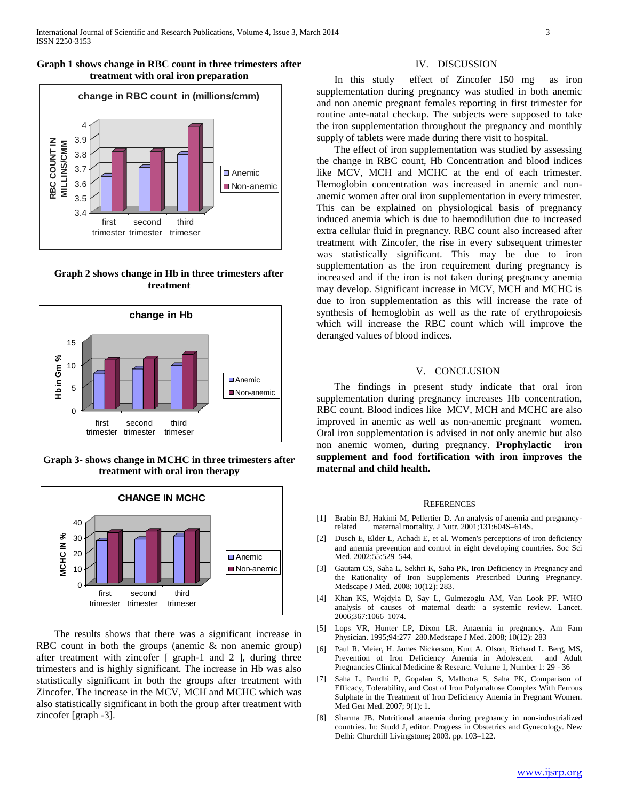# **Graph 1 shows change in RBC count in three trimesters after treatment with oral iron preparation**



**Graph 2 shows change in Hb in three trimesters after treatment**



**Graph 3- shows change in MCHC in three trimesters after treatment with oral iron therapy**



 The results shows that there was a significant increase in RBC count in both the groups (anemic & non anemic group) after treatment with zincofer [ graph-1 and 2 ], during three trimesters and is highly significant. The increase in Hb was also statistically significant in both the groups after treatment with Zincofer. The increase in the MCV, MCH and MCHC which was also statistically significant in both the group after treatment with zincofer [graph -3].

## IV. DISCUSSION

 In this study effect of Zincofer 150 mg as iron supplementation during pregnancy was studied in both anemic and non anemic pregnant females reporting in first trimester for routine ante-natal checkup. The subjects were supposed to take the iron supplementation throughout the pregnancy and monthly supply of tablets were made during there visit to hospital.

 The effect of iron supplementation was studied by assessing the change in RBC count, Hb Concentration and blood indices like MCV, MCH and MCHC at the end of each trimester. Hemoglobin concentration was increased in anemic and nonanemic women after oral iron supplementation in every trimester. This can be explained on physiological basis of pregnancy induced anemia which is due to haemodilution due to increased extra cellular fluid in pregnancy. RBC count also increased after treatment with Zincofer, the rise in every subsequent trimester was statistically significant. This may be due to iron supplementation as the iron requirement during pregnancy is increased and if the iron is not taken during pregnancy anemia may develop. Significant increase in MCV, MCH and MCHC is due to iron supplementation as this will increase the rate of synthesis of hemoglobin as well as the rate of erythropoiesis which will increase the RBC count which will improve the deranged values of blood indices.

## V. CONCLUSION

 The findings in present study indicate that oral iron supplementation during pregnancy increases Hb concentration, RBC count. Blood indices like MCV, MCH and MCHC are also improved in anemic as well as non-anemic pregnant women. Oral iron supplementation is advised in not only anemic but also non anemic women, during pregnancy. **Prophylactic iron supplement and food fortification with iron improves the maternal and child health.** 

#### **REFERENCES**

- [1] Brabin BJ, Hakimi M, Pellertier D. An analysis of anemia and pregnancyrelated maternal mortality. J Nutr. 2001;131:604S–614S.
- [2] Dusch E, Elder L, Achadi E, et al. Women's perceptions of iron deficiency and anemia prevention and control in eight developing countries. Soc Sci Med. 2002;55:529–544.
- [3] Gautam CS, Saha L, Sekhri K, Saha PK, Iron Deficiency in Pregnancy and the Rationality of Iron Supplements Prescribed During Pregnancy. Medscape J Med. 2008; 10(12): 283.
- [4] Khan KS, Wojdyla D, Say L, Gulmezoglu AM, Van Look PF. WHO analysis of causes of maternal death: a systemic review. Lancet. 2006;367:1066–1074.
- [5] Lops VR, Hunter LP, Dixon LR. Anaemia in pregnancy. Am Fam Physician. 1995;94:277–280.Medscape J Med. 2008; 10(12): 283
- [6] Paul R. Meier, H. James Nickerson, Kurt A. Olson, Richard L. Berg, MS, Prevention of Iron Deficiency Anemia in Adolescent and Adult Pregnancies Clinical Medicine & Researc. Volume 1, Number 1: 29 - 36
- [7] Saha L, Pandhi P, Gopalan S, Malhotra S, Saha PK, Comparison of Efficacy, Tolerability, and Cost of Iron Polymaltose Complex With Ferrous Sulphate in the Treatment of Iron Deficiency Anemia in Pregnant Women. Med Gen Med. 2007; 9(1): 1.
- [8] Sharma JB. Nutritional anaemia during pregnancy in non-industrialized countries. In: Studd J, editor. Progress in Obstetrics and Gynecology. New Delhi: Churchill Livingstone; 2003. pp. 103–122.